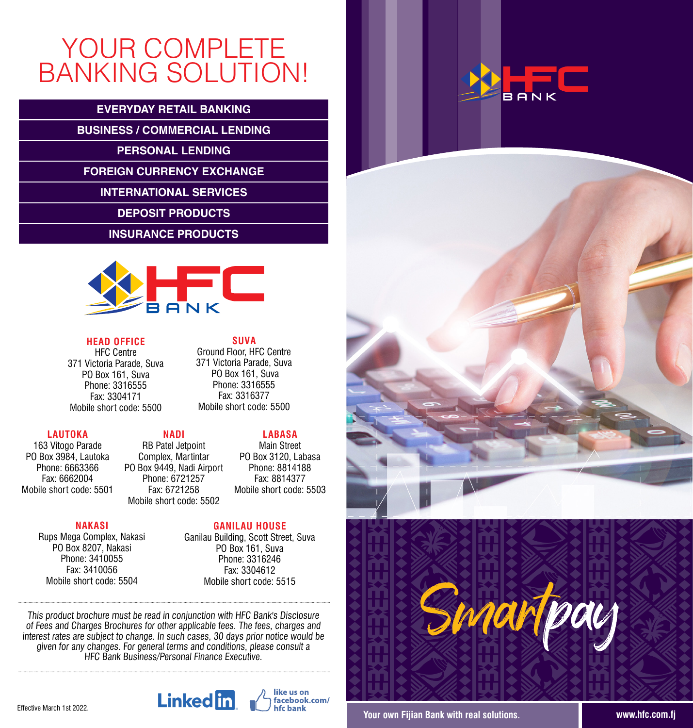### YOUR COMPLETE BANKING SOLUTION!

#### **EVERYDAY RETAIL BANKING**

**BUSINESS / COMMERCIAL LENDING**

**PERSONAL LENDING**

**FOREIGN CURRENCY EXCHANGE**

**INTERNATIONAL SERVICES**

**DEPOSIT PRODUCTS**

**INSURANCE PRODUCTS**



**HEAD OFFICE** HFC Centre 371 Victoria Parade, Suva PO Box 161, Suva Phone: 3316555 Fax: 3304171 Mobile short code: 5500

#### **NADI**

163 Vitogo Parade PO Box 3984, Lautoka Phone: 6663366 Fax: 6662004 Mobile short code: 5501 Mobile short code: 5502

#### RB Patel Jetpoint Complex, Martintar PO Box 9449, Nadi Airport Phone: 6721257 Fax: 6721258

#### **NAKASI**

**LAUTOKA**

Rups Mega Complex, Nakasi PO Box 8207, Nakasi Phone: 3410055 Fax: 3410056 Mobile short code: 5504

**SUVA** Ground Floor, HFC Centre 371 Victoria Parade, Suva PO Box 161, Suva Phone: 3316555 Fax: 3316377 Mobile short code: 5500

#### **GANILAU HOUSE**

**LABASA** Main Street PO Box 3120, Labasa Phone: 8814188 Fax: 8814377 Mobile short code: 5503

Ganilau Building, Scott Street, Suva PO Box 161, Suva Phone: 3316246 Fax: 3304612 Mobile short code: 5515

like us on

me as on<br>facebook.com/ hfchank

This product brochure must be read in conjunction with HFC Bank's Disclosure of Fees and Charges Brochures for other applicable fees. The fees, charges and interest rates are subject to change. In such cases, 30 days prior notice would be given for any changes. For general terms and conditions, please consult a HFC Bank Business/Personal Finance Executive.

**Linked** in







**Your own Fijian Bank with real solutions. www.hfc.com.fj**